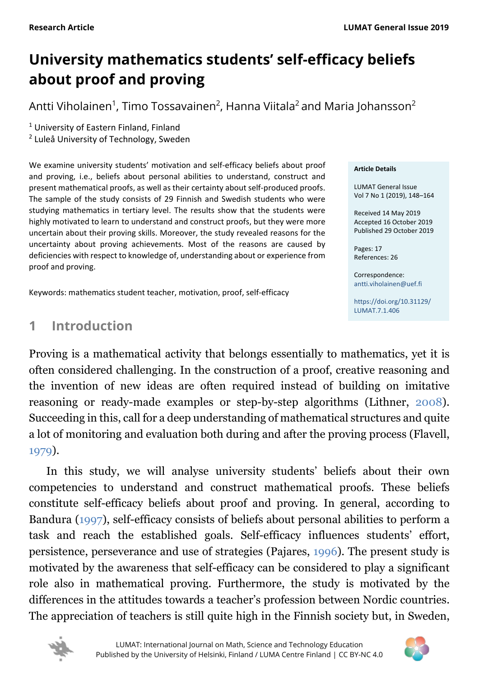# **University mathematics students' self-efficacy beliefs about proof and proving**

Antti Viholainen $^1$ , Timo Tossavainen $^2$ , Hanna Viitala $^2$  and Maria Johansson $^2$ 

<sup>1</sup> University of Eastern Finland, Finland

<sup>2</sup> Luleå University of Technology, Sweden

We examine university students' motivation and self-efficacy beliefs about proof and proving, i.e., beliefs about personal abilities to understand, construct and present mathematical proofs, as well as their certainty about self-produced proofs. The sample of the study consists of 29 Finnish and Swedish students who were studying mathematics in tertiary level. The results show that the students were highly motivated to learn to understand and construct proofs, but they were more uncertain about their proving skills. Moreover, the study revealed reasons for the uncertainty about proving achievements. Most of the reasons are caused by deficiencies with respect to knowledge of, understanding about or experience from proof and proving.

Keywords: mathematics student teacher, motivation, proof, self-efficacy

# <span id="page-0-0"></span>**1 Introduction**

# Proving is a mathematical activity that belongs essentially to mathematics, yet it is often considered challenging. In the construction of a proof, creative reasoning and the invention of new ideas are often required instead of building on imitative reasoning or ready-made examples or step-by-step algorithms (Lithner, [2008\)](#page-14-0). Succeeding in this, call for a deep understanding of mathematical structures and quite a lot of monitoring and evaluation both during and after the proving process (Flavell, [1979\)](#page-14-0).

In this study, we will analyse university students' beliefs about their own competencies to understand and construct mathematical proofs. These beliefs constitute self-efficacy beliefs about proof and proving. In general, according to Bandura [\(1997\)](#page-14-0), self-efficacy consists of beliefs about personal abilities to perform a task and reach the established goals. Self-efficacy influences students' effort, persistence, perseverance and use of strategies (Pajares, [1996\)](#page-14-0). The present study is motivated by the awareness that self-efficacy can be considered to play a significant role also in mathematical proving. Furthermore, the study is motivated by the differences in the attitudes towards a teacher's profession between Nordic countries. The appreciation of teachers is still quite high in the Finnish society but, in Sweden,





#### **Article Details**

LUMAT General Issue Vol 7 No 1 (2019), 148–164

Received 14 May 2019 Accepted 16 October 2019 Published 29 October 2019

Pages: 17 References: 26

Correspondence: [antti.viholainen@uef.fi](mailto:antti.viholainen@uef.fi)

[https://doi.org/10.31129/](https://doi.org/10.31129/LUMAT.7.1.406) [LUMAT.7.1.406](https://doi.org/10.31129/LUMAT.7.1.406)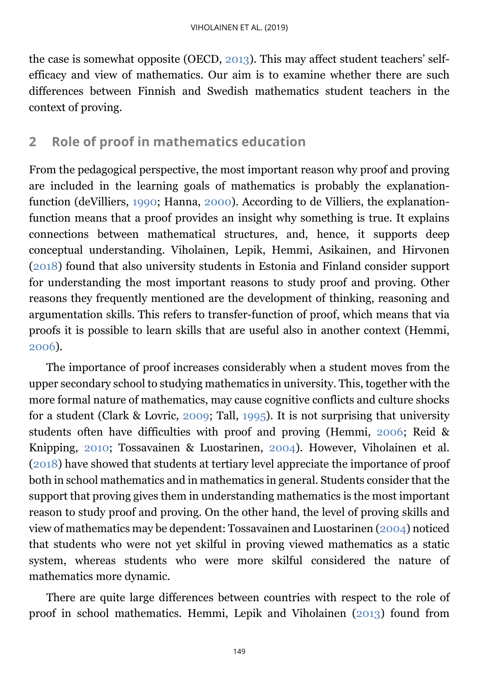the case is somewhat opposite (OECD, [2013\)](#page-14-0). This may affect student teachers' selfefficacy and view of mathematics. Our aim is to examine whether there are such differences between Finnish and Swedish mathematics student teachers in the context of proving.

# <span id="page-1-0"></span>**2 Role of proof in mathematics education**

From the pedagogical perspective, the most important reason why proof and proving are included in the learning goals of mathematics is probably the explanationfunction (deVilliers, [1990;](#page-14-0) Hanna, [2000\)](#page-14-0). According to de Villiers, the explanationfunction means that a proof provides an insight why something is true. It explains connections between mathematical structures, and, hence, it supports deep conceptual understanding. Viholainen, Lepik, Hemmi, Asikainen, and Hirvonen [\(2018\)](#page-14-0) found that also university students in Estonia and Finland consider support for understanding the most important reasons to study proof and proving. Other reasons they frequently mentioned are the development of thinking, reasoning and argumentation skills. This refers to transfer-function of proof, which means that via proofs it is possible to learn skills that are useful also in another context (Hemmi, [2006\)](#page-14-0).

The importance of proof increases considerably when a student moves from the upper secondary school to studying mathematics in university. This, together with the more formal nature of mathematics, may cause cognitive conflicts and culture shocks for a student (Clark & Lovric, [2009;](#page-14-0) Tall, [1995\)](#page-14-0). It is not surprising that university students often have difficulties with proof and proving (Hemmi, [2006;](#page-14-0) Reid & Knipping, [2010;](#page-14-0) Tossavainen & Luostarinen, [2004\)](#page-14-0). However, Viholainen et al. [\(2018\)](#page-14-0) have showed that students at tertiary level appreciate the importance of proof both in school mathematics and in mathematics in general. Students consider that the support that proving gives them in understanding mathematics is the most important reason to study proof and proving. On the other hand, the level of proving skills and view of mathematics may be dependent: Tossavainen and Luostarinen [\(2004\)](#page-14-0) noticed that students who were not yet skilful in proving viewed mathematics as a static system, whereas students who were more skilful considered the nature of mathematics more dynamic.

There are quite large differences between countries with respect to the role of proof in school mathematics. Hemmi, Lepik and Viholainen [\(2013\)](#page-14-0) found from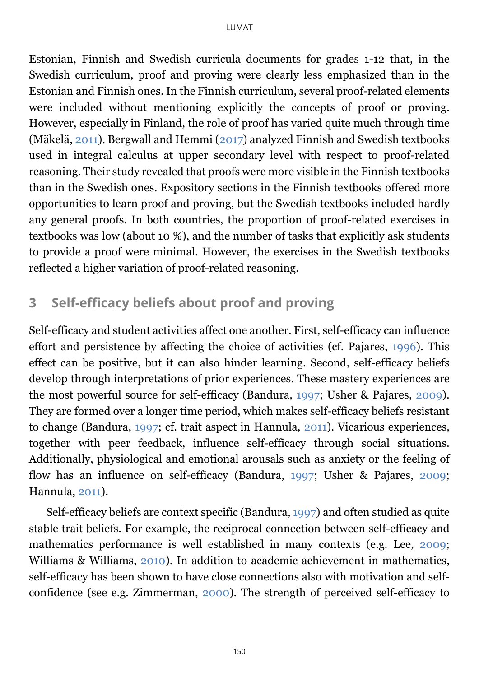Estonian, Finnish and Swedish curricula documents for grades 1-12 that, in the Swedish curriculum, proof and proving were clearly less emphasized than in the Estonian and Finnish ones. In the Finnish curriculum, several proof-related elements were included without mentioning explicitly the concepts of proof or proving. However, especially in Finland, the role of proof has varied quite much through time (Mäkelä, [2011\)](#page-14-0). Bergwall and Hemmi [\(2017\)](#page-14-0) analyzed Finnish and Swedish textbooks used in integral calculus at upper secondary level with respect to proof-related reasoning. Their study revealed that proofs were more visible in the Finnish textbooks than in the Swedish ones. Expository sections in the Finnish textbooks offered more opportunities to learn proof and proving, but the Swedish textbooks included hardly any general proofs. In both countries, the proportion of proof-related exercises in textbooks was low (about 10 %), and the number of tasks that explicitly ask students to provide a proof were minimal. However, the exercises in the Swedish textbooks reflected a higher variation of proof-related reasoning.

## <span id="page-2-0"></span>**3 Self-efficacy beliefs about proof and proving**

Self-efficacy and student activities affect one another. First, self-efficacy can influence effort and persistence by affecting the choice of activities (cf. Pajares, [1996\)](#page-14-0). This effect can be positive, but it can also hinder learning. Second, self-efficacy beliefs develop through interpretations of prior experiences. These mastery experiences are the most powerful source for self-efficacy (Bandura, [1997;](#page-14-0) Usher & Pajares, [2009\)](#page-14-0). They are formed over a longer time period, which makes self-efficacy beliefs resistant to change (Bandura, [1997;](#page-14-0) cf. trait aspect in Hannula, [2011\)](#page-14-0). Vicarious experiences, together with peer feedback, influence self-efficacy through social situations. Additionally, physiological and emotional arousals such as anxiety or the feeling of flow has an influence on self-efficacy (Bandura, [1997;](#page-14-0) Usher & Pajares, [2009;](#page-14-0) Hannula, [2011\)](#page-14-0).

Self-efficacy beliefs are context specific (Bandura, [1997\)](#page-14-0) and often studied as quite stable trait beliefs. For example, the reciprocal connection between self-efficacy and mathematics performance is well established in many contexts (e.g. Lee, [2009;](#page-14-0) Williams & Williams, [2010\)](#page-14-0). In addition to academic achievement in mathematics, self-efficacy has been shown to have close connections also with motivation and selfconfidence (see e.g. Zimmerman, [2000\)](#page-14-0). The strength of perceived self-efficacy to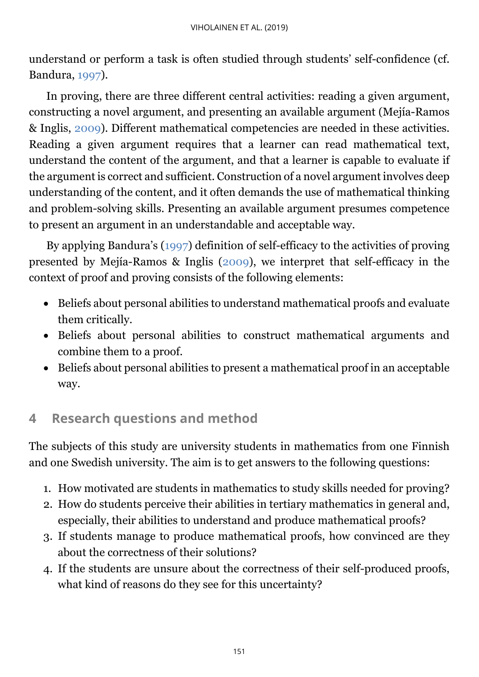understand or perform a task is often studied through students' self-confidence (cf. Bandura, [1997\)](#page-14-0).

In proving, there are three different central activities: reading a given argument, constructing a novel argument, and presenting an available argument (Mejía-Ramos & Inglis, [2009\)](#page-14-0). Different mathematical competencies are needed in these activities. Reading a given argument requires that a learner can read mathematical text, understand the content of the argument, and that a learner is capable to evaluate if the argument is correct and sufficient. Construction of a novel argument involves deep understanding of the content, and it often demands the use of mathematical thinking and problem-solving skills. Presenting an available argument presumes competence to present an argument in an understandable and acceptable way.

By applying Bandura's [\(1997\)](#page-14-0) definition of self-efficacy to the activities of proving presented by Mejía-Ramos & Inglis [\(2009\)](#page-14-0), we interpret that self-efficacy in the context of proof and proving consists of the following elements:

- Beliefs about personal abilities to understand mathematical proofs and evaluate them critically.
- Beliefs about personal abilities to construct mathematical arguments and combine them to a proof.
- Beliefs about personal abilities to present a mathematical proof in an acceptable way.

# **4 Research questions and method**

The subjects of this study are university students in mathematics from one Finnish and one Swedish university. The aim is to get answers to the following questions:

- 1. How motivated are students in mathematics to study skills needed for proving?
- 2. How do students perceive their abilities in tertiary mathematics in general and, especially, their abilities to understand and produce mathematical proofs?
- 3. If students manage to produce mathematical proofs, how convinced are they about the correctness of their solutions?
- 4. If the students are unsure about the correctness of their self-produced proofs, what kind of reasons do they see for this uncertainty?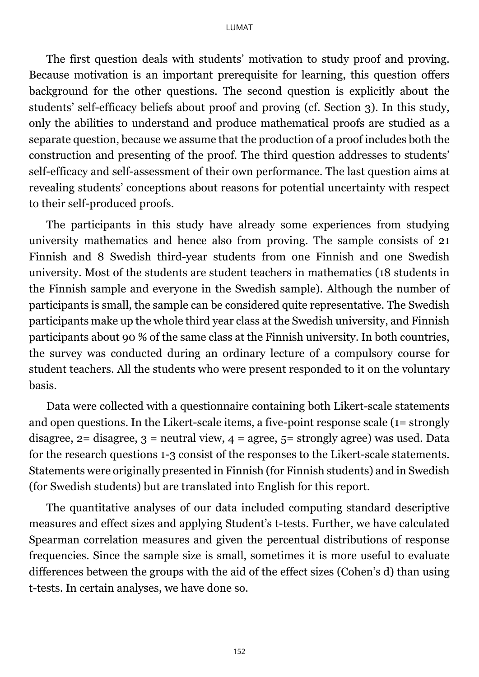The first question deals with students' motivation to study proof and proving. Because motivation is an important prerequisite for learning, this question offers background for the other questions. The second question is explicitly about the students' self-efficacy beliefs about proof and proving (cf. Section 3). In this study, only the abilities to understand and produce mathematical proofs are studied as a separate question, because we assume that the production of a proof includes both the construction and presenting of the proof. The third question addresses to students' self-efficacy and self-assessment of their own performance. The last question aims at revealing students' conceptions about reasons for potential uncertainty with respect to their self-produced proofs.

The participants in this study have already some experiences from studying university mathematics and hence also from proving. The sample consists of 21 Finnish and 8 Swedish third-year students from one Finnish and one Swedish university. Most of the students are student teachers in mathematics (18 students in the Finnish sample and everyone in the Swedish sample). Although the number of participants is small, the sample can be considered quite representative. The Swedish participants make up the whole third year class at the Swedish university, and Finnish participants about 90 % of the same class at the Finnish university. In both countries, the survey was conducted during an ordinary lecture of a compulsory course for student teachers. All the students who were present responded to it on the voluntary basis.

Data were collected with a questionnaire containing both Likert-scale statements and open questions. In the Likert-scale items, a five-point response scale (1= strongly disagree,  $2 =$  disagree,  $3 =$  neutral view,  $4 =$  agree,  $5 =$  strongly agree) was used. Data for the research questions 1-3 consist of the responses to the Likert-scale statements. Statements were originally presented in Finnish (for Finnish students) and in Swedish (for Swedish students) but are translated into English for this report.

The quantitative analyses of our data included computing standard descriptive measures and effect sizes and applying Student's t-tests. Further, we have calculated Spearman correlation measures and given the percentual distributions of response frequencies. Since the sample size is small, sometimes it is more useful to evaluate differences between the groups with the aid of the effect sizes (Cohen's d) than using t-tests. In certain analyses, we have done so.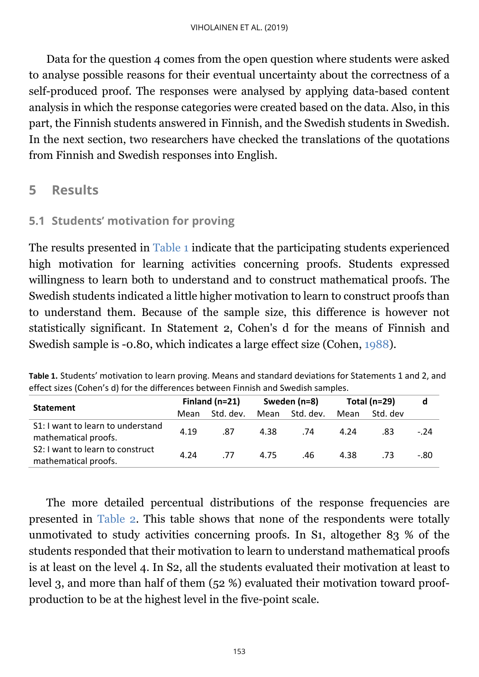Data for the question 4 comes from the open question where students were asked to analyse possible reasons for their eventual uncertainty about the correctness of a self-produced proof. The responses were analysed by applying data-based content analysis in which the response categories were created based on the data. Also, in this part, the Finnish students answered in Finnish, and the Swedish students in Swedish. In the next section, two researchers have checked the translations of the quotations from Finnish and Swedish responses into English.

## **5 Results**

#### <span id="page-5-1"></span>**5.1 Students' motivation for proving**

The results presented in [Table 1](#page-5-0) indicate that the participating students experienced high motivation for learning activities concerning proofs. Students expressed willingness to learn both to understand and to construct mathematical proofs. The Swedish students indicated a little higher motivation to learn to construct proofs than to understand them. Because of the sample size, this difference is however not statistically significant. In Statement 2, Cohen's d for the means of Finnish and Swedish sample is -0.80, which indicates a large effect size (Cohen, [1988\)](#page-14-0).

<span id="page-5-0"></span>**Table 1.** Students' motivation to learn proving. Means and standard deviations for Statements 1 and 2, and effect sizes (Cohen's d) for the differences between Finnish and Swedish samples.

|                                                           | Finland $(n=21)$ |           | Sweden (n=8) |           | Total ( $n=29$ ) |          | d      |
|-----------------------------------------------------------|------------------|-----------|--------------|-----------|------------------|----------|--------|
| <b>Statement</b>                                          | Mean             | Std. dev. | Mean         | Std. dev. | Mean             | Std. dev |        |
| S1: I want to learn to understand<br>mathematical proofs. | 4.19             | .87       | 4.38         | .74       | 4.24             | .83      | $-.24$ |
| S2: I want to learn to construct<br>mathematical proofs.  | 4.24             | .77       | 4.75         | .46       | 4.38             | .73      | -.80   |

The more detailed percentual distributions of the response frequencies are presented in [Table 2.](#page-6-0) This table shows that none of the respondents were totally unmotivated to study activities concerning proofs. In S1, altogether 83 % of the students responded that their motivation to learn to understand mathematical proofs is at least on the level 4. In S2, all the students evaluated their motivation at least to level 3, and more than half of them (52 %) evaluated their motivation toward proofproduction to be at the highest level in the five-point scale.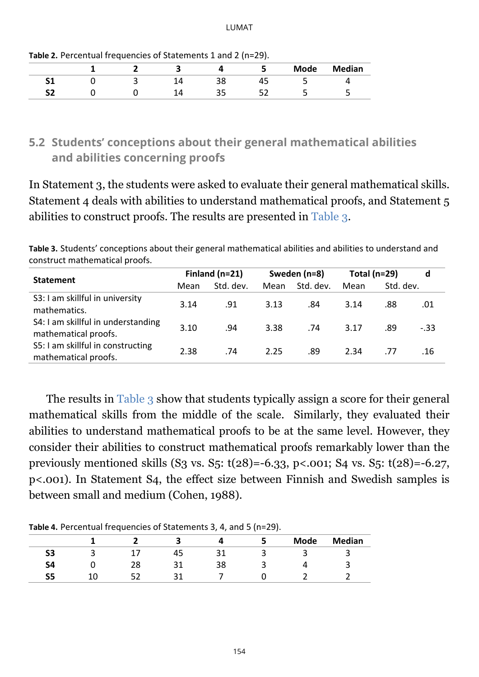|          |  |           |   | <b>Mode</b> | <b>Median</b> |
|----------|--|-----------|---|-------------|---------------|
| <b>.</b> |  | ◡         | 6 |             |               |
| r.       |  | - -<br>-- |   |             |               |

<span id="page-6-0"></span>**Table 2.** Percentual frequencies of Statements 1 and 2 (n=29).

### **5.2 Students' conceptions about their general mathematical abilities and abilities concerning proofs**

In Statement 3, the students were asked to evaluate their general mathematical skills. Statement 4 deals with abilities to understand mathematical proofs, and Statement 5 abilities to construct proofs. The results are presented in [Table 3.](#page-6-1)

<span id="page-6-1"></span>**Table 3.** Students' conceptions about their general mathematical abilities and abilities to understand and construct mathematical proofs.

|                                                            | Finland $(n=21)$ |           | Sweden (n=8) |           | Total ( $n=29$ ) |           | d      |
|------------------------------------------------------------|------------------|-----------|--------------|-----------|------------------|-----------|--------|
| <b>Statement</b>                                           | Mean             | Std. dev. | Mean         | Std. dev. | Mean             | Std. dev. |        |
| S3: I am skillful in university<br>mathematics.            | 3.14             | .91       | 3.13         | .84       | 3.14             | .88       | .01    |
| S4: I am skillful in understanding<br>mathematical proofs. | 3.10             | .94       | 3.38         | .74       | 3.17             | .89       | $-.33$ |
| S5: I am skillful in constructing<br>mathematical proofs.  | 2.38             | .74       | 2.25         | .89       | 2.34             | .77       | .16    |

The results in [Table 3](#page-6-1) show that students typically assign a score for their general mathematical skills from the middle of the scale. Similarly, they evaluated their abilities to understand mathematical proofs to be at the same level. However, they consider their abilities to construct mathematical proofs remarkably lower than the previously mentioned skills (S3 vs. S5:  $t(28) = -6.33$ , p<.001; S4 vs. S5:  $t(28) = -6.27$ , p<.001). In Statement S4, the effect size between Finnish and Swedish samples is between small and medium (Cohen, 1988).

<span id="page-6-2"></span>**Table 4.** Percentual frequencies of Statements 3, 4, and 5 (n=29).

|          | . . |    |    | . .<br>. . |             |               |
|----------|-----|----|----|------------|-------------|---------------|
|          |     |    |    |            | <b>Mode</b> | <b>Median</b> |
| r<br>၁၁  |     | ┱┙ |    |            |             |               |
| c,<br>34 | 28  | ົ  | 38 |            |             |               |
| 52       |     | ົ  |    |            |             |               |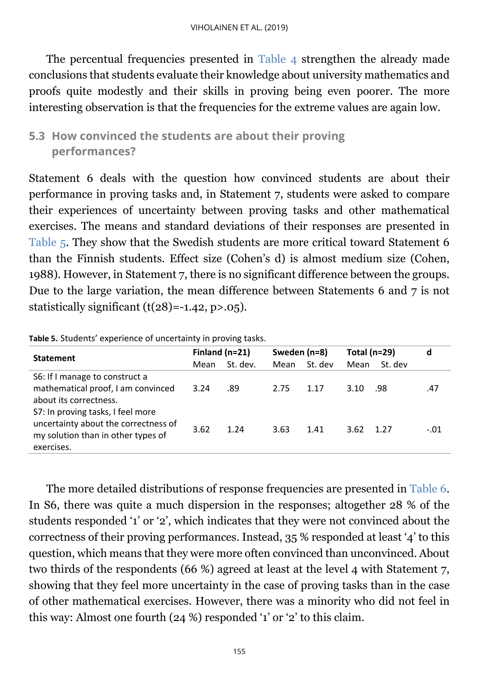<span id="page-7-1"></span>The percentual frequencies presented in [Table 4](#page-6-2) strengthen the already made conclusions that students evaluate their knowledge about university mathematics and proofs quite modestly and their skills in proving being even poorer. The more interesting observation is that the frequencies for the extreme values are again low.

### **5.3 How convinced the students are about their proving performances?**

Statement 6 deals with the question how convinced students are about their performance in proving tasks and, in Statement 7, students were asked to compare their experiences of uncertainty between proving tasks and other mathematical exercises. The means and standard deviations of their responses are presented in [Table 5.](#page-7-0) They show that the Swedish students are more critical toward Statement 6 than the Finnish students. Effect size (Cohen's d) is almost medium size (Cohen, 1988). However, in Statement 7, there is no significant difference between the groups. Due to the large variation, the mean difference between Statements 6 and 7 is not statistically significant  $(t(28)=-1.42, p>0.05)$ .

|                                                                                                                               | Finland $(n=21)$ |          | Sweden (n=8) |         | Total ( $n=29$ ) |         | d      |
|-------------------------------------------------------------------------------------------------------------------------------|------------------|----------|--------------|---------|------------------|---------|--------|
| <b>Statement</b>                                                                                                              | Mean             | St. dev. | Mean         | St. dev | Mean             | St. dev |        |
| S6: If I manage to construct a<br>mathematical proof, I am convinced<br>about its correctness.                                | 3.24             | .89      | 2.75         | 1.17    | 3.10             | .98     | .47    |
| S7: In proving tasks, I feel more<br>uncertainty about the correctness of<br>my solution than in other types of<br>exercises. | 3.62             | 1.24     | 3.63         | 1.41    | 3.62             | 1.27    | $-.01$ |

<span id="page-7-0"></span>**Table 5.** Students' experience of uncertainty in proving tasks.

The more detailed distributions of response frequencies are presented in [Table 6.](#page-7-1) In S6, there was quite a much dispersion in the responses; altogether 28 % of the students responded '1' or '2', which indicates that they were not convinced about the correctness of their proving performances. Instead, 35 % responded at least '4' to this question, which means that they were more often convinced than unconvinced. About two thirds of the respondents (66 %) agreed at least at the level 4 with Statement 7, showing that they feel more uncertainty in the case of proving tasks than in the case of other mathematical exercises. However, there was a minority who did not feel in this way: Almost one fourth (24 %) responded '1' or '2' to this claim.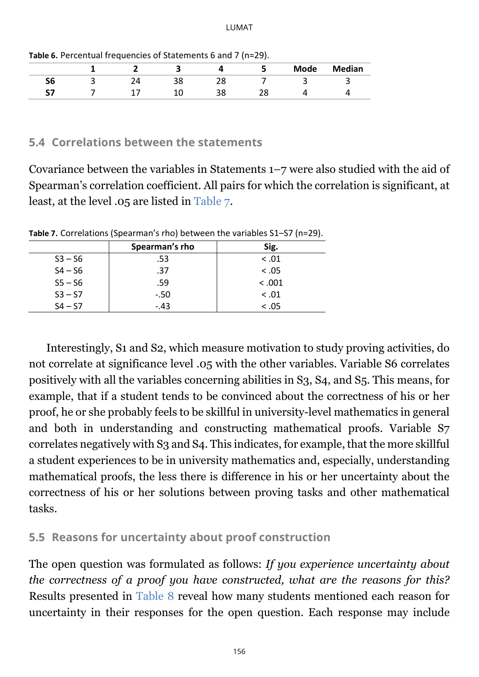LUMAT

|    |  |  | <b>Mode</b> | <b>Median</b> |
|----|--|--|-------------|---------------|
| 50 |  |  |             |               |
|    |  |  |             |               |
|    |  |  |             |               |

**Table 6.** Percentual frequencies of Statements 6 and 7 (n=29).

#### **5.4 Correlations between the statements**

Covariance between the variables in Statements 1–7 were also studied with the aid of Spearman's correlation coefficient. All pairs for which the correlation is significant, at least, at the level .05 are listed in [Table 7.](#page-8-0)

|           | Spearman's rho | Sig.   |
|-----------|----------------|--------|
| $S3 - S6$ | .53            | < 0.01 |
| $S4 - S6$ | .37            | < 0.05 |
| $S5 - S6$ | .59            | < .001 |
| $S3 - S7$ | $-.50$         | < 0.01 |
| $S4 - S7$ | $-.43$         | < 0.05 |

<span id="page-8-0"></span>**Table 7.** Correlations (Spearman's rho) between the variables S1–S7 (n=29).

Interestingly, S1 and S2, which measure motivation to study proving activities, do not correlate at significance level .05 with the other variables. Variable S6 correlates positively with all the variables concerning abilities in S3, S4, and S5. This means, for example, that if a student tends to be convinced about the correctness of his or her proof, he or she probably feels to be skillful in university-level mathematics in general and both in understanding and constructing mathematical proofs. Variable S7 correlates negatively with S3 and S4. This indicates, for example, that the more skillful a student experiences to be in university mathematics and, especially, understanding mathematical proofs, the less there is difference in his or her uncertainty about the correctness of his or her solutions between proving tasks and other mathematical tasks.

#### **5.5 Reasons for uncertainty about proof construction**

The open question was formulated as follows: *If you experience uncertainty about the correctness of a proof you have constructed, what are the reasons for this?* Results presented in [Table 8](#page-9-0) reveal how many students mentioned each reason for uncertainty in their responses for the open question. Each response may include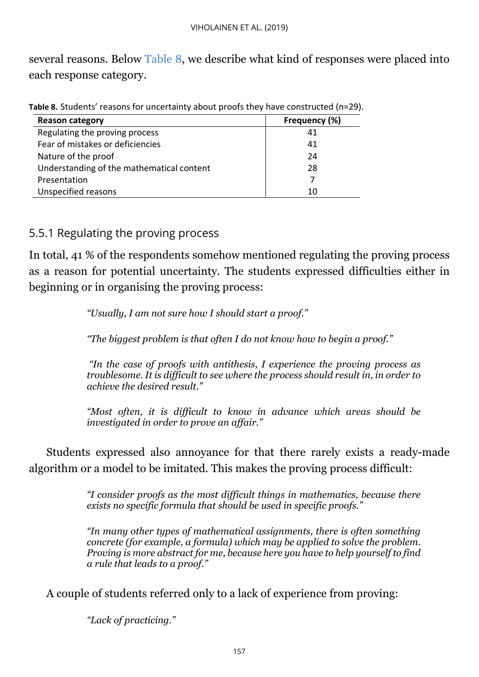several reasons. Below [Table 8,](#page-9-0) we describe what kind of responses were placed into each response category.

| <b>Reason category</b>                    | Frequency (%) |
|-------------------------------------------|---------------|
| Regulating the proving process            | 41            |
| Fear of mistakes or deficiencies          | 41            |
| Nature of the proof                       | 24            |
| Understanding of the mathematical content | 28            |
| Presentation                              |               |
| Unspecified reasons                       |               |

<span id="page-9-0"></span>**Table 8.** Students' reasons for uncertainty about proofs they have constructed (n=29).

#### 5.5.1 Regulating the proving process

In total, 41 % of the respondents somehow mentioned regulating the proving process as a reason for potential uncertainty. The students expressed difficulties either in beginning or in organising the proving process:

*"Usually, I am not sure how I should start a proof."*

*"The biggest problem is that often I do not know how to begin a proof."*

*"In the case of proofs with antithesis, I experience the proving process as troublesome. It is difficult to see where the process should result in, in order to achieve the desired result."*

*"Most often, it is difficult to know in advance which areas should be investigated in order to prove an affair."*

Students expressed also annoyance for that there rarely exists a ready-made algorithm or a model to be imitated. This makes the proving process difficult:

> *"I consider proofs as the most difficult things in mathematics, because there exists no specific formula that should be used in specific proofs."*

> *"In many other types of mathematical assignments, there is often something concrete (for example, a formula) which may be applied to solve the problem. Proving is more abstract for me, because here you have to help yourself to find a rule that leads to a proof."*

A couple of students referred only to a lack of experience from proving:

*"Lack of practicing."*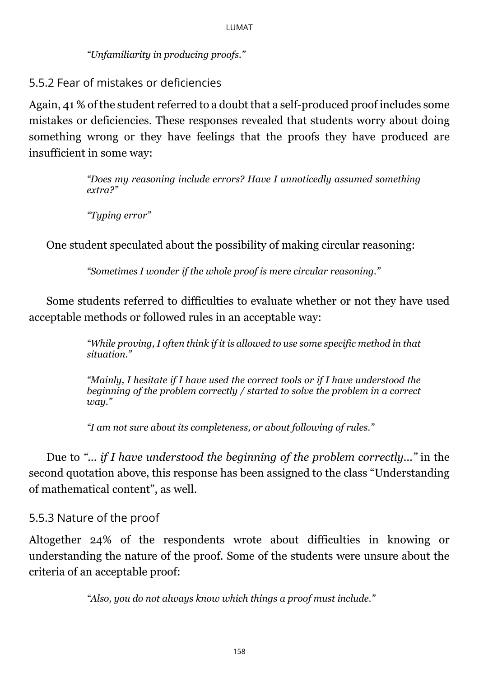*"Unfamiliarity in producing proofs."*

5.5.2 Fear of mistakes or deficiencies

Again, 41 % of the student referred to a doubt that a self-produced proof includes some mistakes or deficiencies. These responses revealed that students worry about doing something wrong or they have feelings that the proofs they have produced are insufficient in some way:

> *"Does my reasoning include errors? Have I unnoticedly assumed something extra?"*

*"Typing error"*

One student speculated about the possibility of making circular reasoning:

*"Sometimes I wonder if the whole proof is mere circular reasoning."*

Some students referred to difficulties to evaluate whether or not they have used acceptable methods or followed rules in an acceptable way:

> *"While proving, I often think if it is allowed to use some specific method in that situation."*

> *"Mainly, I hesitate if I have used the correct tools or if I have understood the beginning of the problem correctly / started to solve the problem in a correct way."*

*"I am not sure about its completeness, or about following of rules."*

Due to *"... if I have understood the beginning of the problem correctly..."* in the second quotation above, this response has been assigned to the class "Understanding of mathematical content", as well.

#### 5.5.3 Nature of the proof

Altogether 24% of the respondents wrote about difficulties in knowing or understanding the nature of the proof. Some of the students were unsure about the criteria of an acceptable proof:

*"Also, you do not always know which things a proof must include."*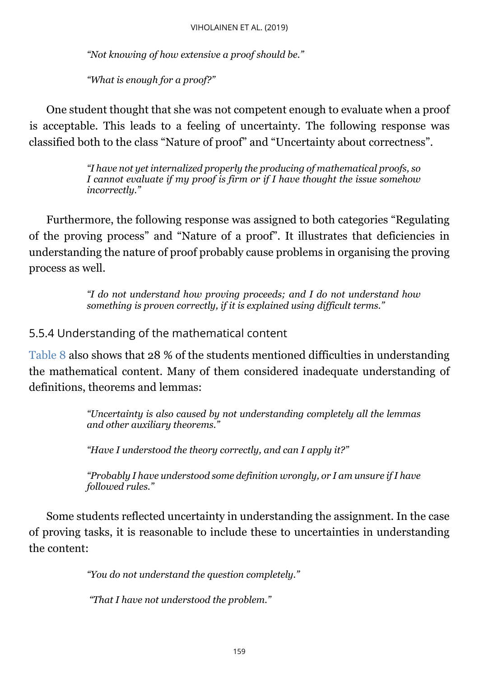*"Not knowing of how extensive a proof should be."*

*"What is enough for a proof?"*

One student thought that she was not competent enough to evaluate when a proof is acceptable. This leads to a feeling of uncertainty. The following response was classified both to the class "Nature of proof" and "Uncertainty about correctness".

> *"I have not yet internalized properly the producing of mathematical proofs, so I cannot evaluate if my proof is firm or if I have thought the issue somehow incorrectly."*

Furthermore, the following response was assigned to both categories "Regulating of the proving process" and "Nature of a proof". It illustrates that deficiencies in understanding the nature of proof probably cause problems in organising the proving process as well.

> *"I do not understand how proving proceeds; and I do not understand how something is proven correctly, if it is explained using difficult terms."*

#### 5.5.4 Understanding of the mathematical content

[Table 8](#page-9-0) also shows that 28 % of the students mentioned difficulties in understanding the mathematical content. Many of them considered inadequate understanding of definitions, theorems and lemmas:

> *"Uncertainty is also caused by not understanding completely all the lemmas and other auxiliary theorems."*

*"Have I understood the theory correctly, and can I apply it?"*

*"Probably I have understood some definition wrongly, or I am unsure if I have followed rules."*

Some students reflected uncertainty in understanding the assignment. In the case of proving tasks, it is reasonable to include these to uncertainties in understanding the content:

*"You do not understand the question completely."*

*"That I have not understood the problem."*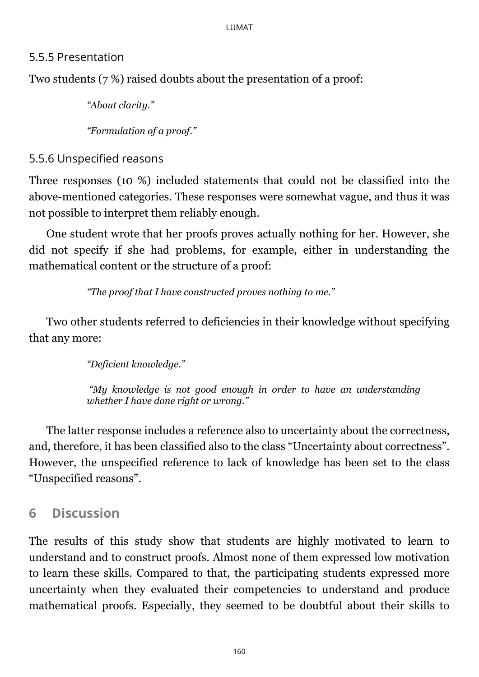#### 5.5.5 Presentation

Two students (7 %) raised doubts about the presentation of a proof:

*"About clarity."*

*"Formulation of a proof."*

5.5.6 Unspecified reasons

Three responses (10 %) included statements that could not be classified into the above-mentioned categories. These responses were somewhat vague, and thus it was not possible to interpret them reliably enough.

One student wrote that her proofs proves actually nothing for her. However, she did not specify if she had problems, for example, either in understanding the mathematical content or the structure of a proof:

*"The proof that I have constructed proves nothing to me."*

Two other students referred to deficiencies in their knowledge without specifying that any more:

*"Deficient knowledge."*

*"My knowledge is not good enough in order to have an understanding whether I have done right or wrong."*

The latter response includes a reference also to uncertainty about the correctness, and, therefore, it has been classified also to the class "Uncertainty about correctness". However, the unspecified reference to lack of knowledge has been set to the class "Unspecified reasons".

# <span id="page-12-0"></span>**6 Discussion**

The results of this study show that students are highly motivated to learn to understand and to construct proofs. Almost none of them expressed low motivation to learn these skills. Compared to that, the participating students expressed more uncertainty when they evaluated their competencies to understand and produce mathematical proofs. Especially, they seemed to be doubtful about their skills to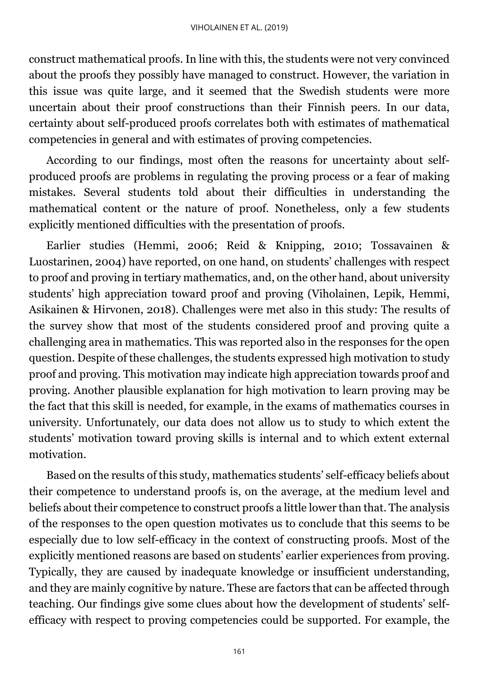construct mathematical proofs. In line with this, the students were not very convinced about the proofs they possibly have managed to construct. However, the variation in this issue was quite large, and it seemed that the Swedish students were more uncertain about their proof constructions than their Finnish peers. In our data, certainty about self-produced proofs correlates both with estimates of mathematical competencies in general and with estimates of proving competencies.

According to our findings, most often the reasons for uncertainty about selfproduced proofs are problems in regulating the proving process or a fear of making mistakes. Several students told about their difficulties in understanding the mathematical content or the nature of proof. Nonetheless, only a few students explicitly mentioned difficulties with the presentation of proofs.

Earlier studies (Hemmi, 2006; Reid & Knipping, 2010; Tossavainen & Luostarinen, 2004) have reported, on one hand, on students' challenges with respect to proof and proving in tertiary mathematics, and, on the other hand, about university students' high appreciation toward proof and proving (Viholainen, Lepik, Hemmi, Asikainen & Hirvonen, 2018). Challenges were met also in this study: The results of the survey show that most of the students considered proof and proving quite a challenging area in mathematics. This was reported also in the responses for the open question. Despite of these challenges, the students expressed high motivation to study proof and proving. This motivation may indicate high appreciation towards proof and proving. Another plausible explanation for high motivation to learn proving may be the fact that this skill is needed, for example, in the exams of mathematics courses in university. Unfortunately, our data does not allow us to study to which extent the students' motivation toward proving skills is internal and to which extent external motivation.

Based on the results of this study, mathematics students' self-efficacy beliefs about their competence to understand proofs is, on the average, at the medium level and beliefs about their competence to construct proofs a little lower than that. The analysis of the responses to the open question motivates us to conclude that this seems to be especially due to low self-efficacy in the context of constructing proofs. Most of the explicitly mentioned reasons are based on students' earlier experiences from proving. Typically, they are caused by inadequate knowledge or insufficient understanding, and they are mainly cognitive by nature. These are factors that can be affected through teaching. Our findings give some clues about how the development of students' selfefficacy with respect to proving competencies could be supported. For example, the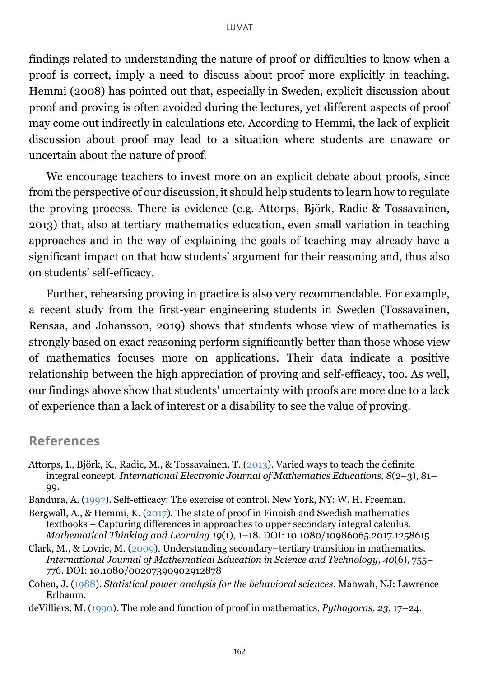findings related to understanding the nature of proof or difficulties to know when a proof is correct, imply a need to discuss about proof more explicitly in teaching. Hemmi (2008) has pointed out that, especially in Sweden, explicit discussion about proof and proving is often avoided during the lectures, yet different aspects of proof may come out indirectly in calculations etc. According to Hemmi, the lack of explicit discussion about proof may lead to a situation where students are unaware or uncertain about the nature of proof.

We encourage teachers to invest more on an explicit debate about proofs, since from the perspective of our discussion, it should help students to learn how to regulate the proving process. There is evidence (e.g. Attorps, Björk, Radic & Tossavainen, 2013) that, also at tertiary mathematics education, even small variation in teaching approaches and in the way of explaining the goals of teaching may already have a significant impact on that how students' argument for their reasoning and, thus also on students' self-efficacy.

Further, rehearsing proving in practice is also very recommendable. For example, a recent study from the first-year engineering students in Sweden (Tossavainen, Rensaa, and Johansson, 2019) shows that students whose view of mathematics is strongly based on exact reasoning perform significantly better than those whose view of mathematics focuses more on applications. Their data indicate a positive relationship between the high appreciation of proving and self-efficacy, too. As well, our findings above show that students' uncertainty with proofs are more due to a lack of experience than a lack of interest or a disability to see the value of proving.

#### <span id="page-14-0"></span>**References**

- Attorps, I., Björk, K., Radic, M., & Tossavainen, T. [\(2013\)](#page-12-0). Varied ways to teach the definite integral concept. *International Electronic Journal of Mathematics Educations, 8*(2–3), 81– 99.
- Bandura, A. [\(1997\)](#page-0-0). Self-efficacy: The exercise of control. New York, NY: W. H. Freeman.
- Bergwall, A., & Hemmi, K. [\(2017\)](#page-1-0). The state of proof in Finnish and Swedish mathematics textbooks – Capturing differences in approaches to upper secondary integral calculus. *Mathematical Thinking and Learning 19*(1), 1–18. DOI: 10.1080/10986065.2017.1258615
- Clark, M., & Lovric, M. [\(2009\)](#page-1-0). Understanding secondary–tertiary transition in mathematics. *International Journal of Mathematical Education in Science and Technology, 40*(6), 755– 776. DOI: 10.1080/00207390902912878
- Cohen, J. [\(1988\)](#page-5-1). *Statistical power analysis for the behavioral sciences.* Mahwah, NJ: Lawrence Erlbaum.
- deVilliers, M. [\(1990\)](#page-1-0). The role and function of proof in mathematics. *Pythagoras, 23,* 17–24.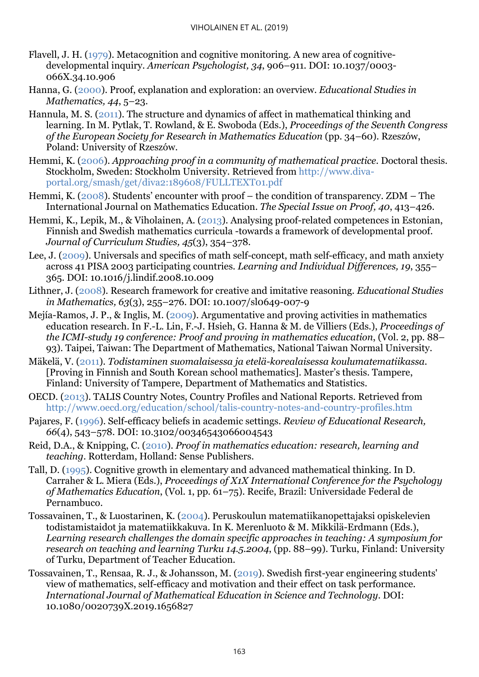- Flavell, J. H. [\(1979\)](#page-0-0). Metacognition and cognitive monitoring. A new area of cognitivedevelopmental inquiry. *American Psychologist, 34*, 906–911. DOI: 10.1037/0003- 066X.34.10.906
- Hanna, G. [\(2000\)](#page-1-0). Proof, explanation and exploration: an overview. *Educational Studies in Mathematics, 44*, 5–23.
- Hannula, M. S. [\(2011\)](#page-2-0). The structure and dynamics of affect in mathematical thinking and learning. In M. Pytlak, T. Rowland, & E. Swoboda (Eds.), *Proceedings of the Seventh Congress of the European Society for Research in Mathematics Education* (pp. 34–60). Rzeszów, Poland: University of Rzeszów.
- Hemmi, K. [\(2006\)](#page-1-0). *Approaching proof in a community of mathematical practice*. Doctoral thesis. Stockholm, Sweden: Stockholm University. Retrieved from [http://www.diva](http://www.diva-portal.org/smash/get/diva2:189608/FULLTEXT01.pdf)[portal.org/smash/get/diva2:189608/FULLTEXT01.pdf](http://www.diva-portal.org/smash/get/diva2:189608/FULLTEXT01.pdf)
- Hemmi, K. [\(2008\)](#page-12-0). Students' encounter with proof the condition of transparency. ZDM The International Journal on Mathematics Education. *The Special Issue on Proof, 40*, 413–426.
- Hemmi, K., Lepik, M., & Viholainen, A. [\(2013\)](#page-1-0). Analysing proof-related competences in Estonian, Finnish and Swedish mathematics curricula -towards a framework of developmental proof. *Journal of Curriculum Studies, 45*(3), 354–378.
- Lee, J. [\(2009\)](#page-2-0). Universals and specifics of math self-concept, math self-efficacy, and math anxiety across 41 PISA 2003 participating countries. *Learning and Individual Differences, 19*, 355– 365. DOI: [10.1016/j.lindif.2008.10.009](http://dx.doi.org/10.1016/j.lindif.2008.10.009)
- Lithner, J. [\(2008\)](#page-0-0). Research framework for creative and imitative reasoning. *Educational Studies in Mathematics, 63*(3), 255–276. DOI: 10.1007/sl0649-007-9
- Mejía-Ramos, J. P., & Inglis, M. [\(2009\)](#page-2-0). Argumentative and proving activities in mathematics education research. In F.-L. Lin, F.-J. Hsieh, G. Hanna & M. de Villiers (Eds.), *Proceedings of the ICMI-study 19 conference: Proof and proving in mathematics education*, (Vol. 2, pp. 88– 93). Taipei, Taiwan: The Department of Mathematics, National Taiwan Normal University.
- Mäkelä, V. [\(2011\)](#page-1-0). *Todistaminen suomalaisessa ja etelä-korealaisessa koulumatematiikassa.* [Proving in Finnish and South Korean school mathematics]. Master's thesis. Tampere, Finland: University of Tampere, Department of Mathematics and Statistics.
- OECD. [\(2013\)](#page-0-0). TALIS Country Notes, Country Profiles and National Reports. Retrieved from <http://www.oecd.org/education/school/talis-country-notes-and-country-profiles.htm>
- Pajares, F. [\(1996\)](#page-0-0). Self-efficacy beliefs in academic settings. *Review of Educational Research, 66*(4), 543–578. DOI: 10.3102/00346543066004543
- Reid, D.A., & Knipping, C. [\(2010\)](#page-1-0). *Proof in mathematics education: research, learning and teaching*. Rotterdam, Holland: Sense Publishers.
- Tall, D. [\(1995\)](#page-1-0). Cognitive growth in elementary and advanced mathematical thinking. In D. Carraher & L. Miera (Eds.), *Proceedings of X1X International Conference for the Psychology of Mathematics Education*, (Vol. 1, pp. 61–75). Recife, Brazil: Universidade Federal de Pernambuco.
- Tossavainen, T., & Luostarinen, K. [\(2004\)](#page-1-0). Peruskoulun matematiikanopettajaksi opiskelevien todistamistaidot ja matematiikkakuva. In K. Merenluoto & M. Mikkilä-Erdmann (Eds.), *Learning research challenges the domain specific approaches in teaching: A symposium for research on teaching and learning Turku 14.5.2004*, (pp. 88–99). Turku, Finland: University of Turku, Department of Teacher Education.
- Tossavainen, T., Rensaa, R. J., & Johansson, M. [\(2019\)](#page-12-0). Swedish first-year engineering students' view of mathematics, self-efficacy and motivation and their effect on task performance. *International Journal of Mathematical Education in Science and Technology*. [DOI:](https://doi.org/10.1080/0020739X.2019.1656827)  [10.1080/0020739X.2019.1656827](https://doi.org/10.1080/0020739X.2019.1656827)